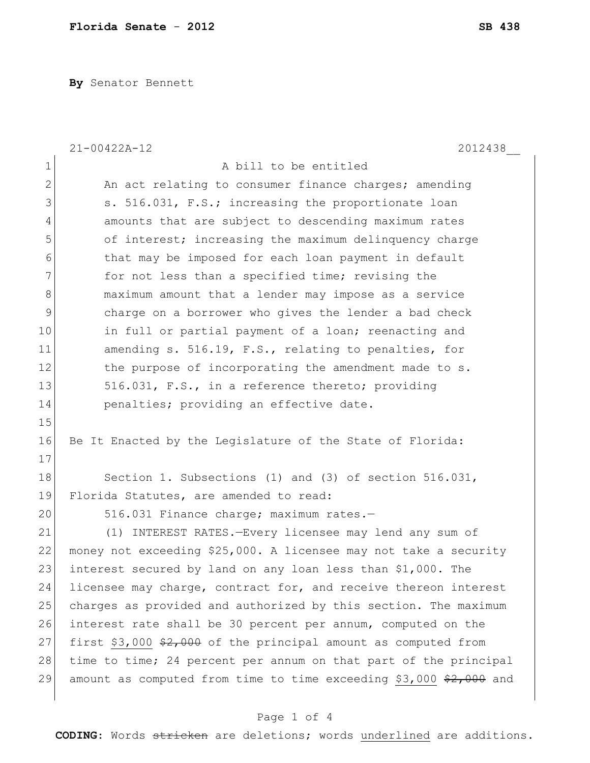**By** Senator Bennett

|              | $21 - 00422A - 12$<br>2012438                                              |
|--------------|----------------------------------------------------------------------------|
| 1            | A bill to be entitled                                                      |
| $\mathbf{2}$ | An act relating to consumer finance charges; amending                      |
| 3            | s. 516.031, F.S.; increasing the proportionate loan                        |
| 4            | amounts that are subject to descending maximum rates                       |
| 5            | of interest; increasing the maximum delinquency charge                     |
| 6            | that may be imposed for each loan payment in default                       |
| 7            | for not less than a specified time; revising the                           |
| 8            | maximum amount that a lender may impose as a service                       |
| 9            | charge on a borrower who gives the lender a bad check                      |
| 10           | in full or partial payment of a loan; reenacting and                       |
| 11           | amending s. 516.19, F.S., relating to penalties, for                       |
| 12           | the purpose of incorporating the amendment made to s.                      |
| 13           | 516.031, F.S., in a reference thereto; providing                           |
| 14           | penalties; providing an effective date.                                    |
| 15           |                                                                            |
| 16           | Be It Enacted by the Legislature of the State of Florida:                  |
| 17           |                                                                            |
| 18           | Section 1. Subsections (1) and (3) of section $516.031$ ,                  |
| 19           | Florida Statutes, are amended to read:                                     |
| 20           | 516.031 Finance charge; maximum rates.-                                    |
| 21           | (1) INTEREST RATES.-Every licensee may lend any sum of                     |
| 22           | money not exceeding \$25,000. A licensee may not take a security           |
| 23           | interest secured by land on any loan less than \$1,000. The                |
| 24           | licensee may charge, contract for, and receive thereon interest            |
| 25           | charges as provided and authorized by this section. The maximum            |
| 26           | interest rate shall be 30 percent per annum, computed on the               |
| 27           | first \$3,000 $\frac{2}{7}$ , 000 of the principal amount as computed from |
| 28           | time to time; 24 percent per annum on that part of the principal           |
| 29           | amount as computed from time to time exceeding \$3,000 \$2,000 and         |
|              |                                                                            |

## Page 1 of 4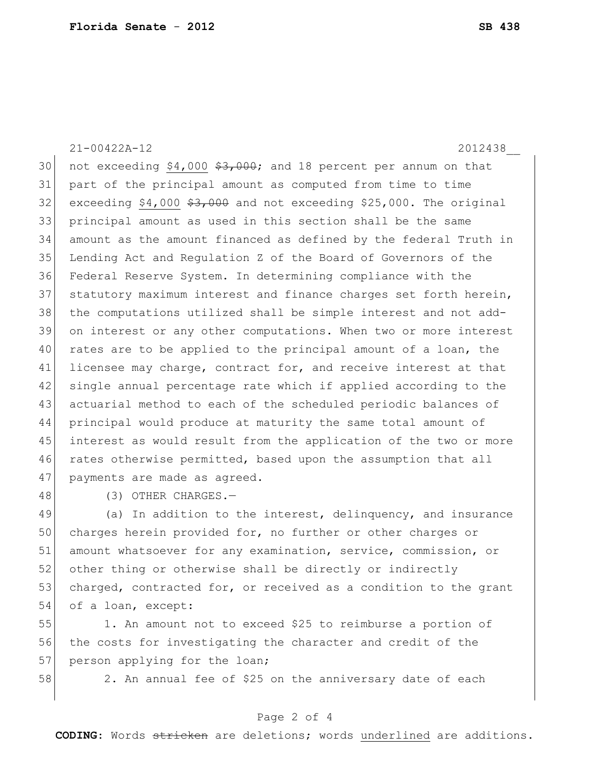30 not exceeding \$4,000  $\frac{1}{2}$ , 000; and 18 percent per annum on that part of the principal amount as computed from time to time exceeding \$4,000  $\frac{23,000}{7}$  and not exceeding \$25,000. The original principal amount as used in this section shall be the same amount as the amount financed as defined by the federal Truth in Lending Act and Regulation Z of the Board of Governors of the Federal Reserve System. In determining compliance with the

37 statutory maximum interest and finance charges set forth herein, 38 the computations utilized shall be simple interest and not add-39 on interest or any other computations. When two or more interest 40 rates are to be applied to the principal amount of a loan, the 41 licensee may charge, contract for, and receive interest at that 42 single annual percentage rate which if applied according to the 43 actuarial method to each of the scheduled periodic balances of 44 principal would produce at maturity the same total amount of 45 interest as would result from the application of the two or more 46 rates otherwise permitted, based upon the assumption that all 47 payments are made as agreed.

21-00422A-12 2012438\_\_

48 (3) OTHER CHARGES.—

49 (a) In addition to the interest, delinquency, and insurance 50 charges herein provided for, no further or other charges or 51 amount whatsoever for any examination, service, commission, or 52 other thing or otherwise shall be directly or indirectly 53 charged, contracted for, or received as a condition to the grant 54 of a loan, except:

55 1. An amount not to exceed \$25 to reimburse a portion of 56 the costs for investigating the character and credit of the 57 person applying for the loan;

58 2. An annual fee of \$25 on the anniversary date of each

## Page 2 of 4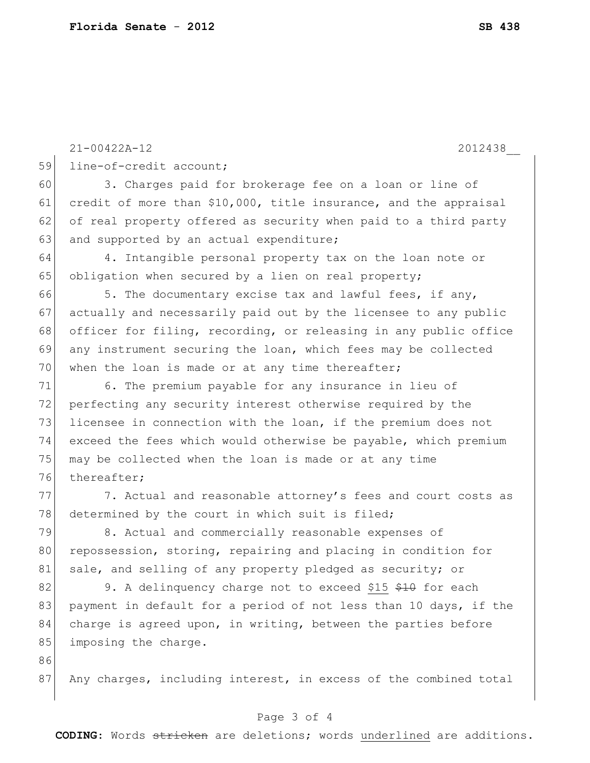|    | 2012438<br>$21 - 00422A - 12$                                    |
|----|------------------------------------------------------------------|
| 59 | line-of-credit account;                                          |
| 60 | 3. Charges paid for brokerage fee on a loan or line of           |
| 61 | credit of more than \$10,000, title insurance, and the appraisal |
| 62 | of real property offered as security when paid to a third party  |
| 63 | and supported by an actual expenditure;                          |
| 64 | 4. Intangible personal property tax on the loan note or          |
| 65 | obligation when secured by a lien on real property;              |
| 66 | 5. The documentary excise tax and lawful fees, if any,           |
| 67 | actually and necessarily paid out by the licensee to any public  |
| 68 | officer for filing, recording, or releasing in any public office |
| 69 | any instrument securing the loan, which fees may be collected    |
| 70 | when the loan is made or at any time thereafter;                 |
| 71 | 6. The premium payable for any insurance in lieu of              |
| 72 | perfecting any security interest otherwise required by the       |
| 73 | licensee in connection with the loan, if the premium does not    |
| 74 | exceed the fees which would otherwise be payable, which premium  |
| 75 | may be collected when the loan is made or at any time            |
| 76 | thereafter;                                                      |
| 77 | 7. Actual and reasonable attorney's fees and court costs as      |
| 78 | determined by the court in which suit is filed;                  |
| 79 | 8. Actual and commercially reasonable expenses of                |
| 80 | repossession, storing, repairing and placing in condition for    |
| 81 | sale, and selling of any property pledged as security; or        |
| 82 | 9. A delinquency charge not to exceed \$15 \$10 for each         |
| 83 | payment in default for a period of not less than 10 days, if the |
| 84 | charge is agreed upon, in writing, between the parties before    |
| 85 | imposing the charge.                                             |
| 86 |                                                                  |
| 87 | Any charges, including interest, in excess of the combined total |

## Page 3 of 4